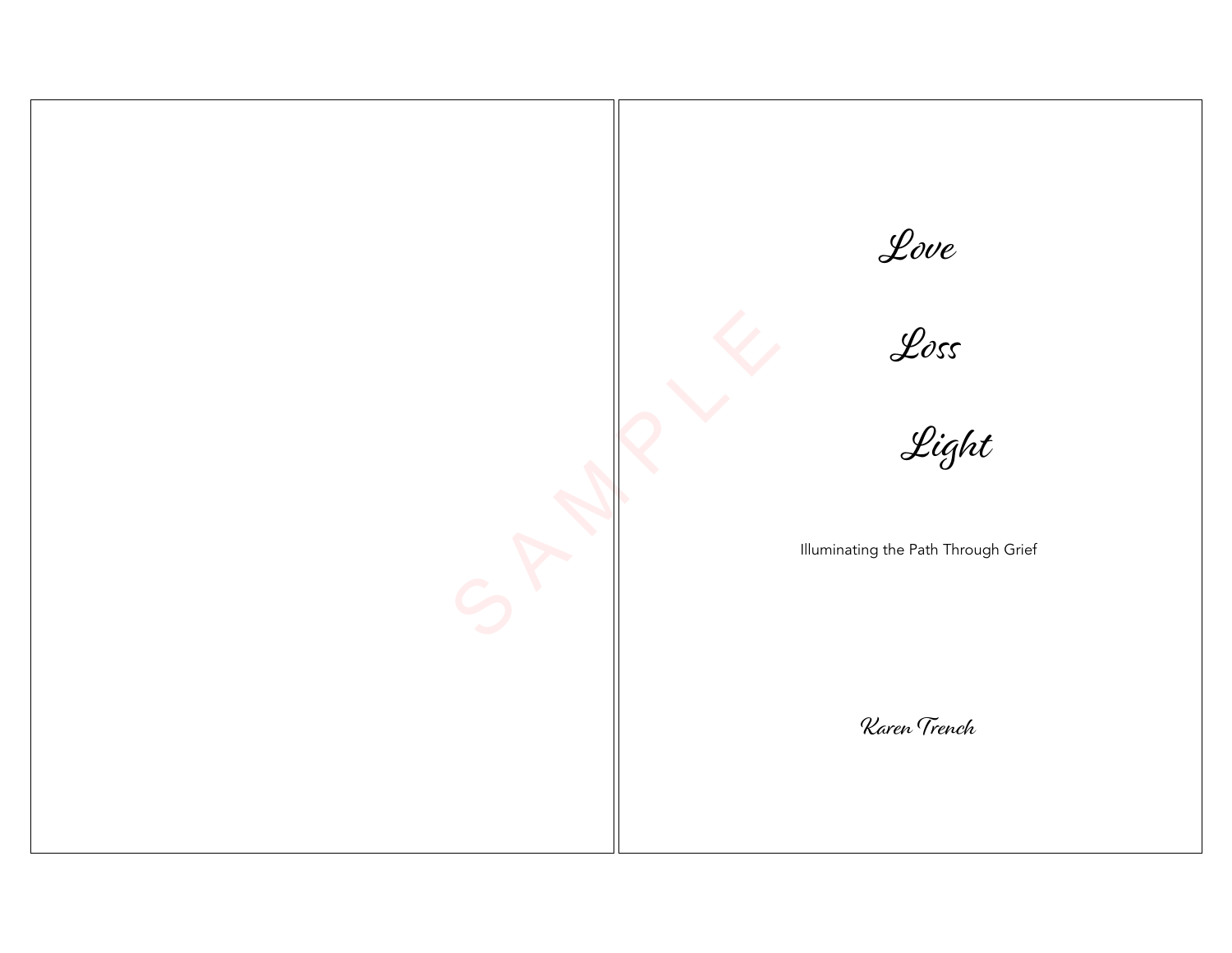S A M P LE Love Loss Light Illuminating the Path Through Grief Karen Trench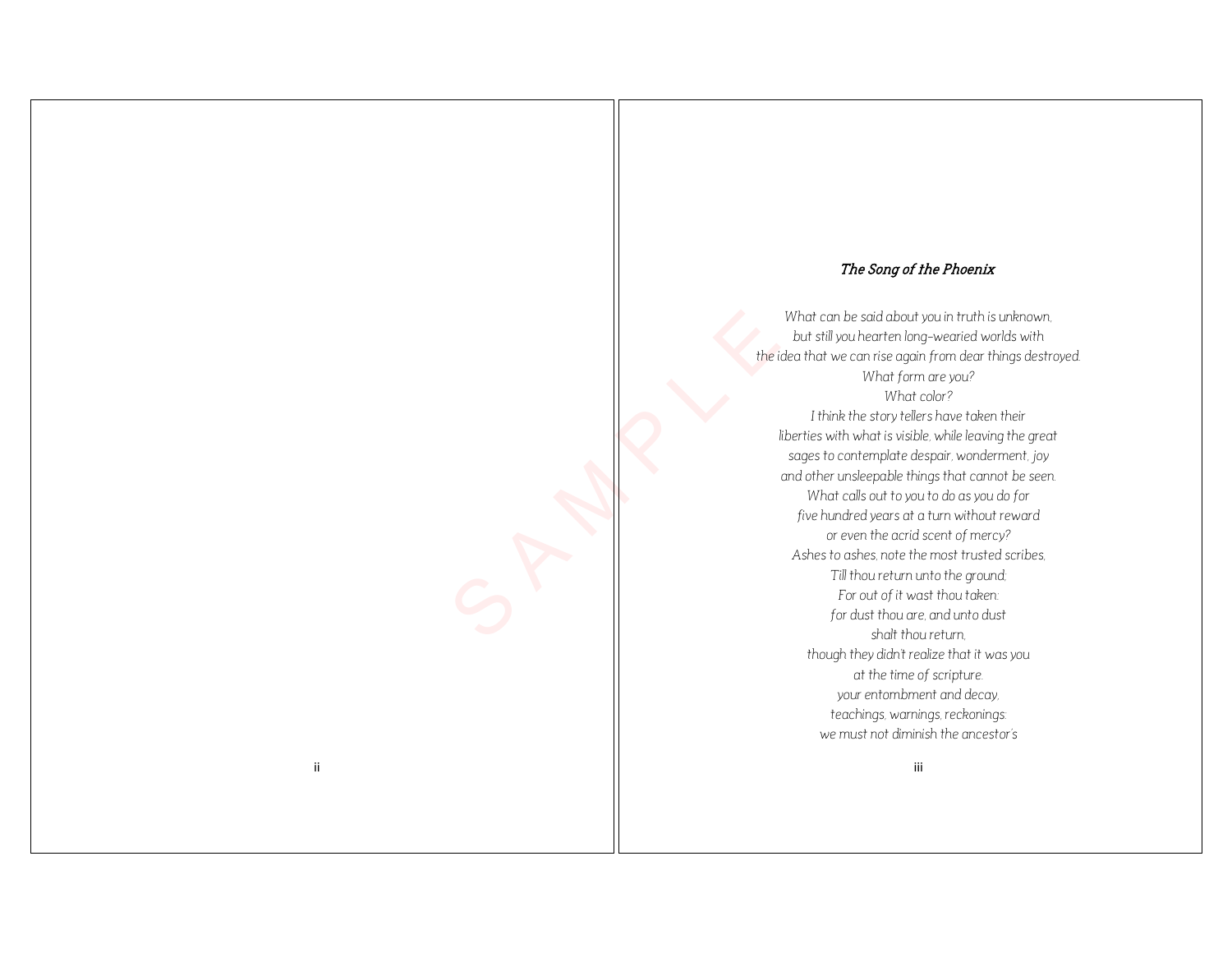### The Song of the Phoenix

the i The Song of 1<br>
What can be said about<br>
but still you hearten long<br>
that fill you hearten long<br>
what fill you hearten long<br>
what is visible<br>
if the story tells<br>
fill throught that is studied<br>
songes to contempled by<br>
songes *What can be said about you in truth is unknown, but still you hearten long -wearied worlds with the idea that we can rise again from dear things destroyed. What form are you? What color? I think the story tellers have taken their liberties with what is visible, while leaving the great sages to contemplate despair, wonderment, joy and other unsleepable things that cannot be seen. What calls out to you to do as you do for five hundred years at a turn without reward or even the acrid scent of mercy? Ashes to ashes, note the most trusted scribes, Till thou return unto the ground; For out of it wast thou taken: for dust thou are, and unto dust shalt thou return, though they didn't realize that it was you at the time of scripture. your entombment and decay, teachings, warnings, reckonings: we must not diminish the ancestor's*

S P P R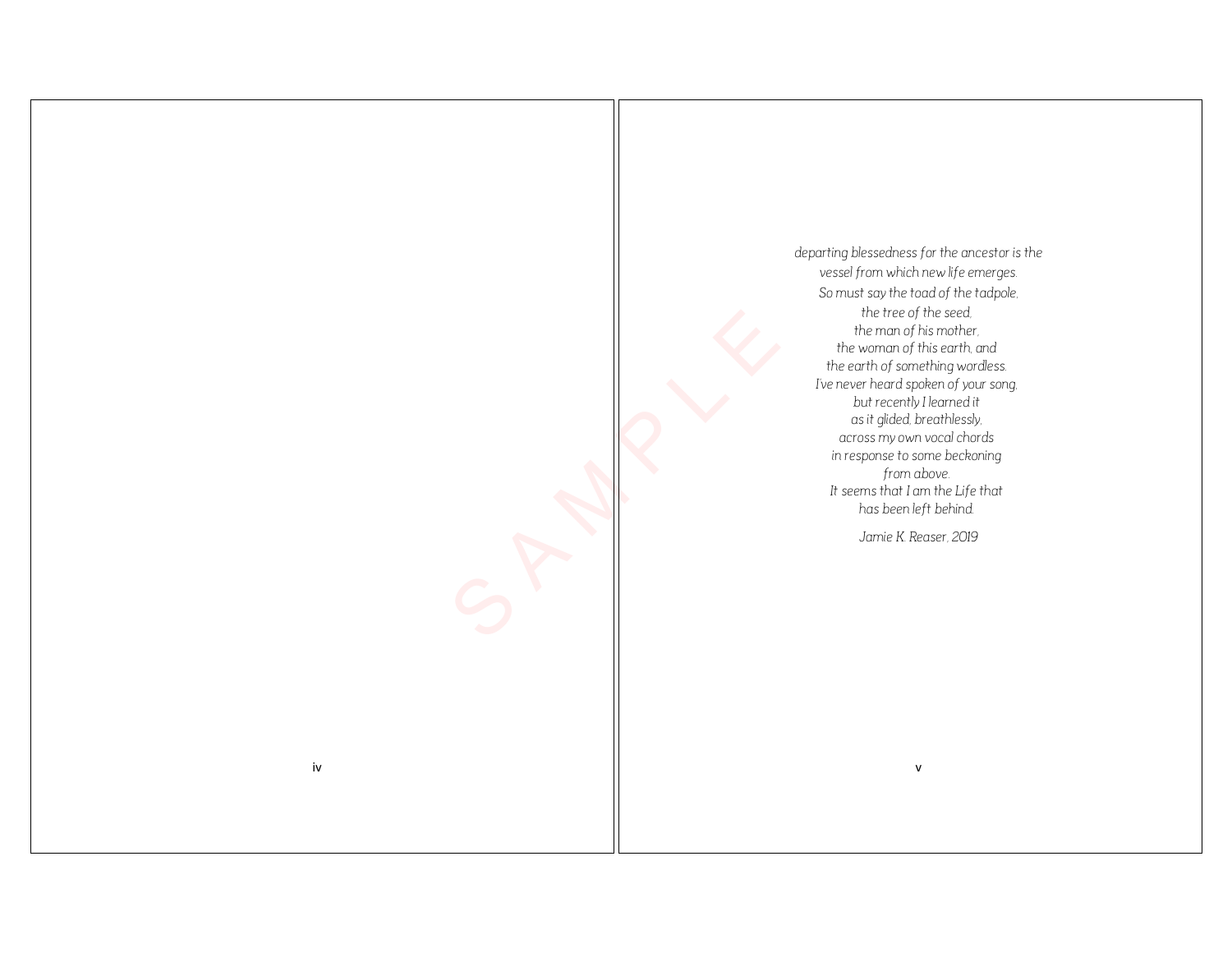*departing blessedness for the ancestor is the vessel from which new life emerges. So must say the toad of the tadpole, the tree of the seed, the man of his mother, the woman of this earth, and the earth of something wordless. I've never heard spoken of your song, but recently I learned it as it glided, breathlessly, across my own vocal chords in response to some beckoning from above. It seems that I am the Life that has been left behind.*

*Jamie K. Reaser, 2019*

S P P R

iv v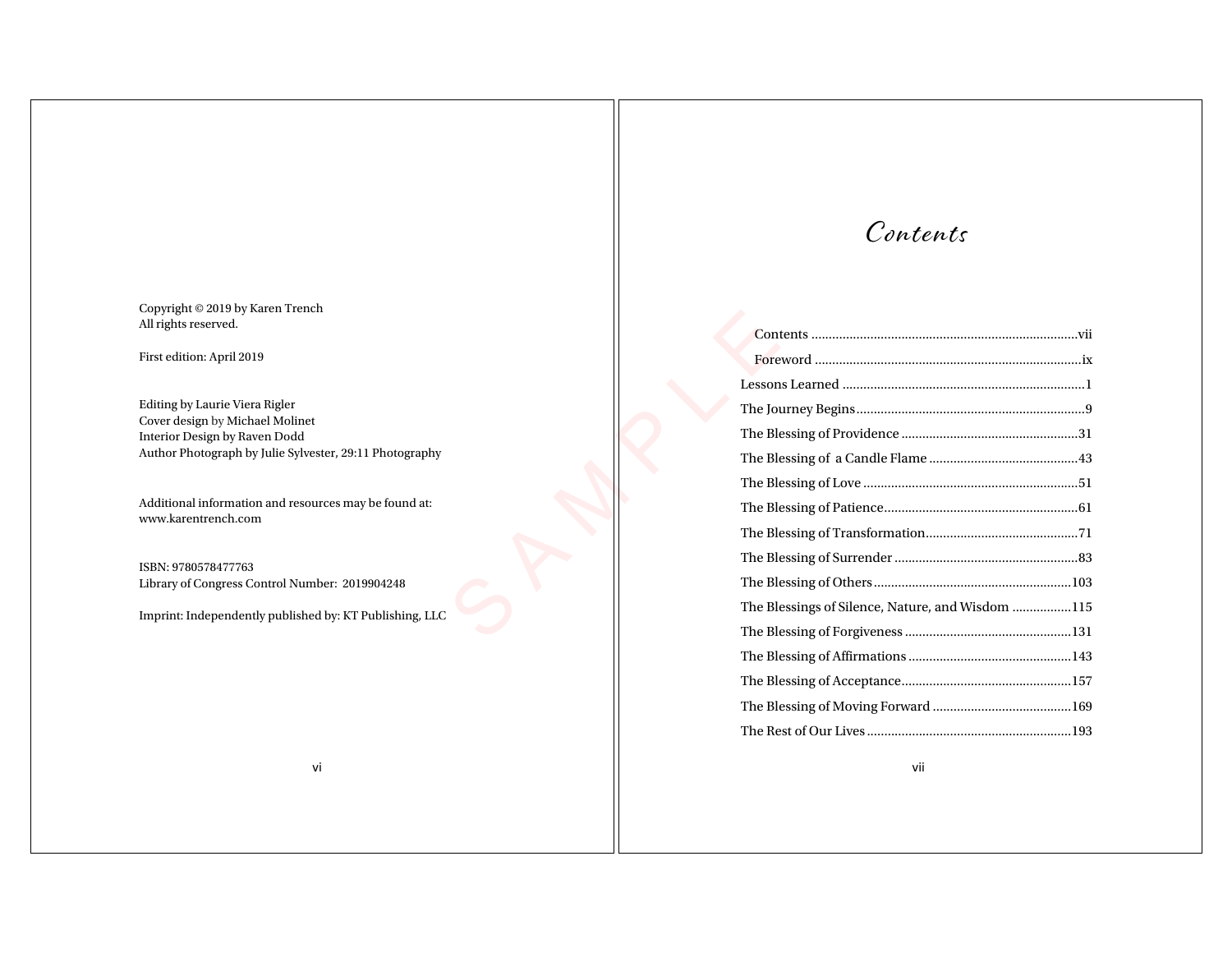Copyright © 2019 by Karen Trench All rights reserved.

First edition: April 2019

Editing by Laurie Viera Rigler Cover design by Michael Molinet Interior Design by Raven Dodd Author Photograph by Julie Sylvester, 29:11 Photography

Additional information and resources may be found at: www.karentrench.com

ISBN: 9780578477763 Library of Congress Control Number: 2019904248

Imprint: Independently published by: KT Publishing, LLC

# Contents

| The Blessings of Silence, Nature, and Wisdom 115 |  |
|--------------------------------------------------|--|
|                                                  |  |
|                                                  |  |
|                                                  |  |
|                                                  |  |
|                                                  |  |

vii

vi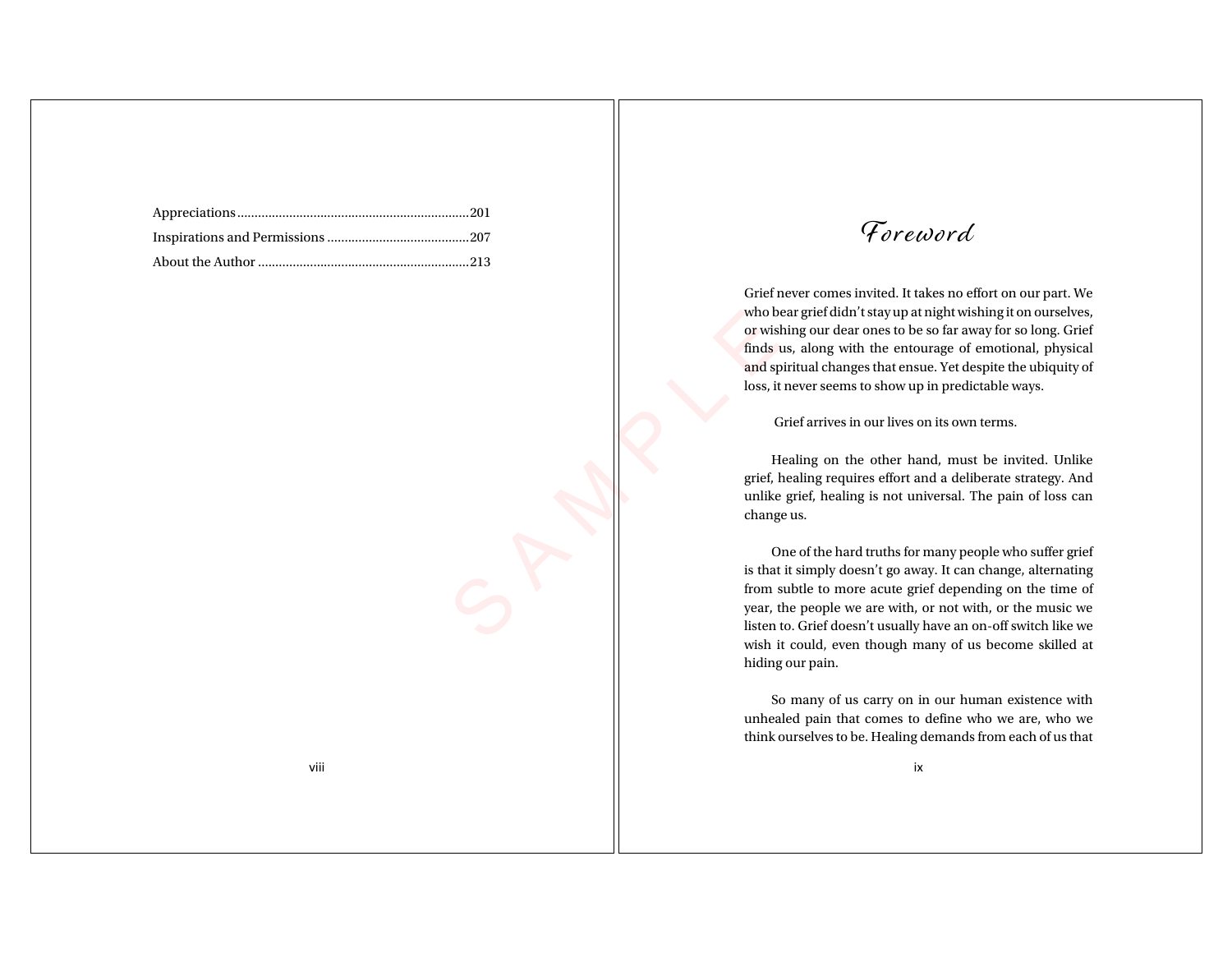Foreword

Grief never comes invited. It takes no effort on our part. We who bear grief didn't stay up at night wishing it on ourselves, or wishing our dear ones to be so far away for so long. Grief finds us, along with the entourage of emotional, physical and spiritual changes that ensue. Yet despite the ubiquity of loss, it never seems to show up in predictable ways.

Grief arrives in our lives on its own terms.

Healing on the other hand, must be invited. Unlike grief, healing requires effort and a deliberate strategy. And unlike grief, healing is not universal. The pain of loss can change us.

Who bear<br>
or wishin<br>
finds us,<br>
and spirit<br>
loss, it ne<br>
Grie<br>
Grie<br>
Heal<br>
grief, hea<br>
unlike grief change us<br>
One<br>
is that it s<br>
from sub<br>
year, the<br>
listen to One of the hard truths for many people who suffer grief is that it simply doesn't go away. It can change, alternating from subtle to more acute grief depending on the time of year, the people we are with, or not with, or the music we listen to. Grief doesn't usually have an on-off switch like we wish it could, even though many of us become skilled at hiding our pain.

> So many of us carry on in our human existence with unhealed pain that comes to define who we are, who we think ourselves to be. Healing demands from each of us that

> > ix

viii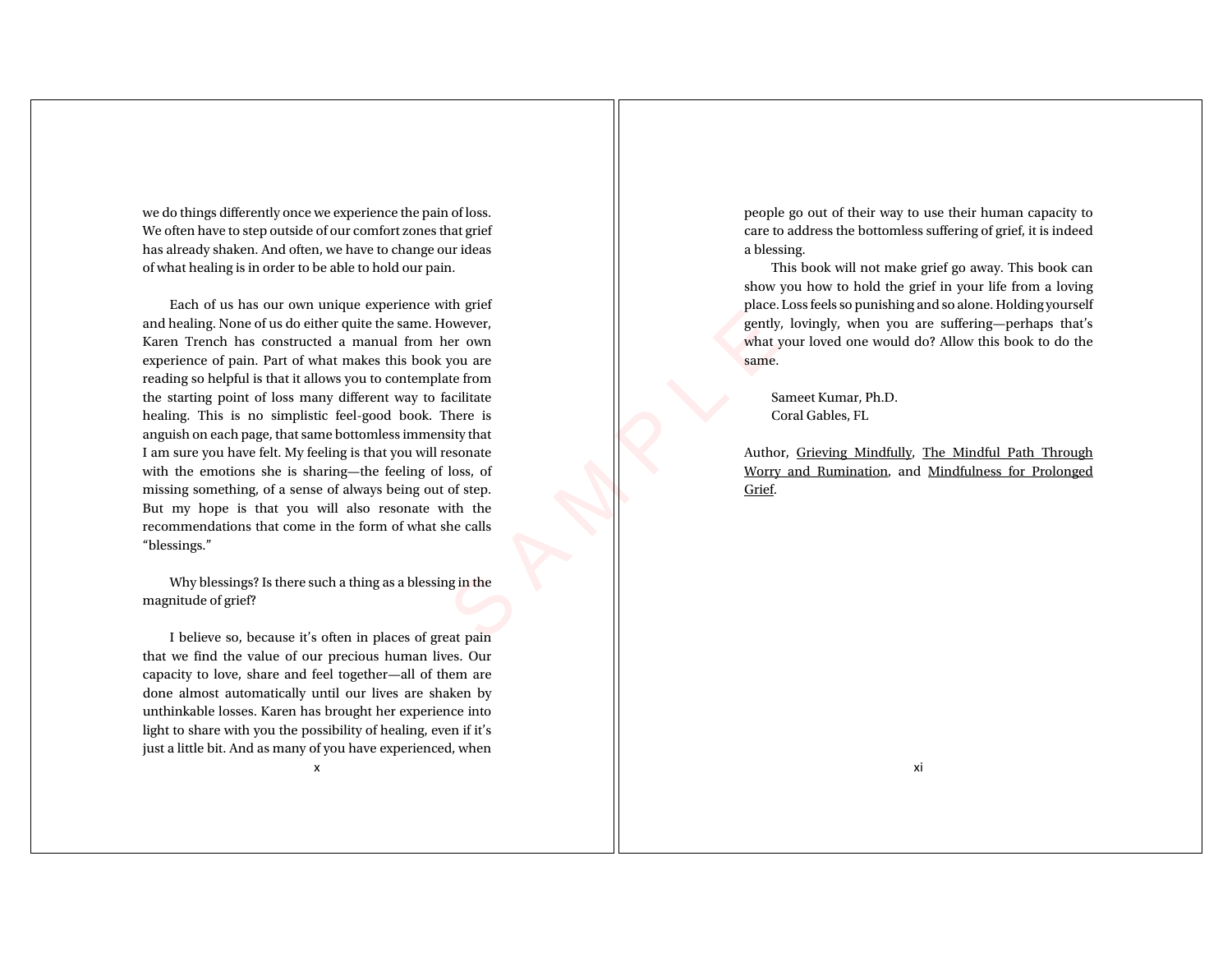we do things differently once we experience the pain of loss. We often have to step outside of our comfort zones that grief has already shaken. And often, we have to change our ideas of what healing is in order to be able to hold our pain.

From the control of the calls<br>
gin the calls<br>
gin the calls<br>
gin the calls<br>
and the calls<br>
gin the calls<br>
gin the calls<br>
distribution of the calls<br>
gin the calls<br>
gin the calls<br>
distribution of the calls<br>
gin the calls<br>
gi Each of us has our own unique experience with grief and healing. None of us do either quite the same. However, Karen Trench has constructed a manual from her own experience of pain. Part of what makes this book you are reading so helpful is that it allows you to contemplate from the starting point of loss many different way to facilitate healing. This is no simplistic feel-good book. There is anguish on each page, that same bottomless immensity that I am sure you have felt. My feeling is that you will resonate with the emotions she is sharing—the feeling of loss, of missing something, of a sense of always being out of step. But my hope is that you will also resonate with the recommendations that come in the form of what she calls "blessings."

Why blessings? Is there such a thing as a blessing in the magnitude of grief?

I believe so, because it's often in places of great pain that we find the value of our precious human lives. Our capacity to love, share and feel together—all of them are done almost automatically until our lives are shaken by unthinkable losses. Karen has brought her experience into light to share with you the possibility of healing, even if it's just a little bit. And as many of you have experienced, when

x

people go out of their way to use their human capacity to care to address the bottomless suffering of grief, it is indeed a blessing.

This book will not make grief go away. This book can show you how to hold the grief in your life from a loving place. Loss feels so punishing and so alone. Holding yourself gently, lovingly, when you are suffering—perhaps that's what your loved one would do? Allow this book to do the same.

Sameet Kumar, Ph.D. Coral Gables, FL

Author, Grieving Mindfully, The Mindful Path Through Worry and Rumination, and Mindfulness for Prolonged Grief.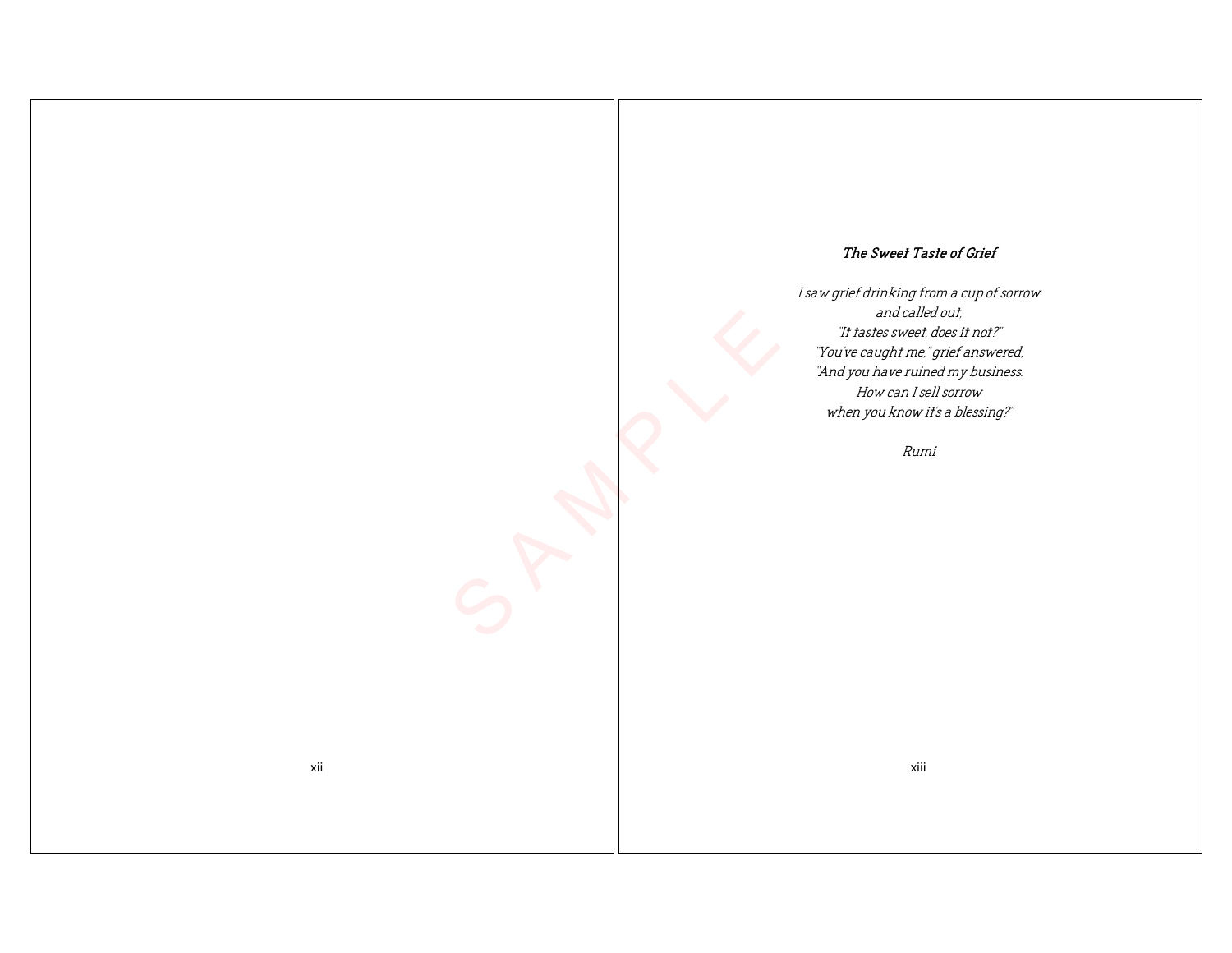## The Sweet Taste of Grief

I saw grief drinking from a cup of sorrow and called out, "It tastes sweet, does it not?" "You've caught me," grief answered, "And you have ruined my business. How can I sell sorrow when you know it's a blessing?"

Rumi

S A M P LE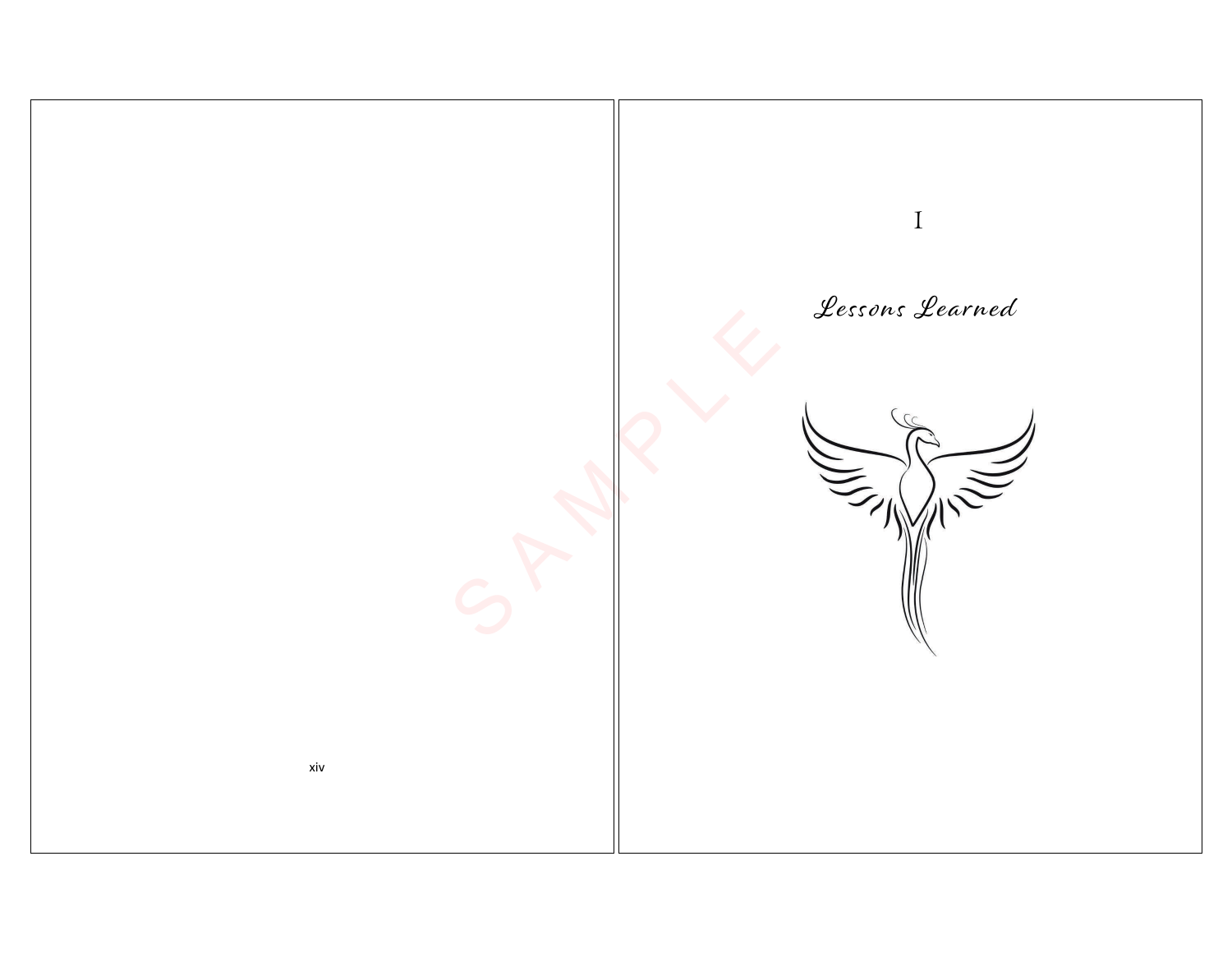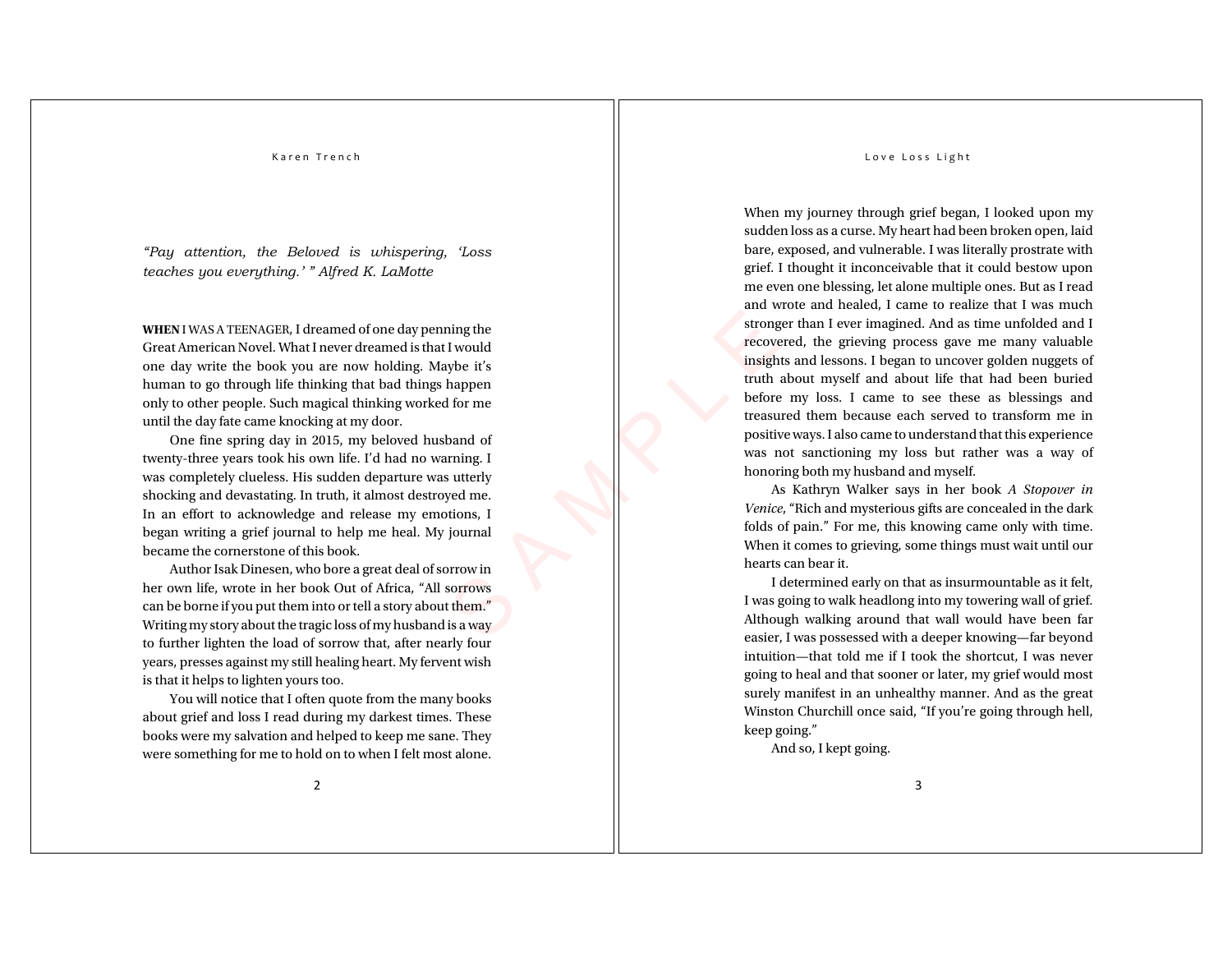*"Pay attention, the Beloved is whispering, 'Loss teaches you everything.' " Alfred K. LaMotte*

**WHEN** I WAS A TEENAGER, I dreamed of one day penning the Great American Novel. What I never dreamed is that I would one day write the book you are now holding. Maybe it's human to go through life thinking that bad things happen only to other people. Such magical thinking worked for me until the day fate came knocking at my door.

ybe it's<br>
happen<br>
I for me<br>
band of<br>
primg. I<br>
sutterly<br>
yed me.<br>
tions, I<br>
journal<br>
for ming. I<br>
which is a way<br>
them."<br>
is a way<br>
them."<br>
is a way<br>
them."<br>
is a way<br>
define One fine spring day in 2015, my beloved husband of twenty-three years took his own life. I'd had no warning. I was completely clueless. His sudden departure was utterly shocking and devastating. In truth, it almost destroyed me. In an effort to acknowledge and release my emotions, I began writing a grief journal to help me heal. My journal became the cornerstone of this book.

Author Isak Dinesen, who bore a great deal of sorrow in her own life, wrote in her book Out of Africa, "All sorrows can be borne if you put them into or tell a story about them." Writing my story about the tragic loss of my husband is a way to further lighten the load of sorrow that, after nearly four years, presses against my still healing heart. My fervent wish is that it helps to lighten yours too. You will notice that I often quote from the many books

about grief and loss I read during my darkest times. These books were my salvation and helped to keep me sane. They were something for me to hold on to when I felt most alone.

#### Love Loss Light

stronger than I ever imagined. And as time unfolded and I<br>recovered, the grieving process gave me many valuable<br>insights and lessons. I began to uncover golden nuggets of truth about myself and about life that had been buried When my journey through grief began, I looked upon my sudden loss as a curse. My heart had been broken open, laid bare, exposed, and vulnerable. I was literally prostrate with grief. I thought it inconceivable that it could bestow upon me even one blessing, let alone multiple ones. But as I read and wrote and healed, I came to realize that I was much recovered, the grieving process gave me many valuable insights and lessons. I began to uncover golden nuggets of before my loss. I came to see these as blessings and treasured them because each served to transform me in positive ways. I also came to understand that this experience was not sanctioning my loss but rather was a way of honoring both my husband and myself.

As Kathryn Walker says in her book *A Stopover in Venice*, "Rich and mysterious gifts are concealed in the dark folds of pain." For me, this knowing came only with time. When it comes to grieving, some things must wait until our hearts can bear it.

I determined early on that as insurmountable as it felt, I was going to walk headlong into my towering wall of grief. Although walking around that wall would have been far easier, I was possessed with a deeper knowing—far beyond intuition—that told me if I took the shortcut, I was never going to heal and that sooner or later, my grief would most surely manifest in an unhealthy manner. And as the great Winston Churchill once said, "If you're going through hell, keep going."

And so, I kept going.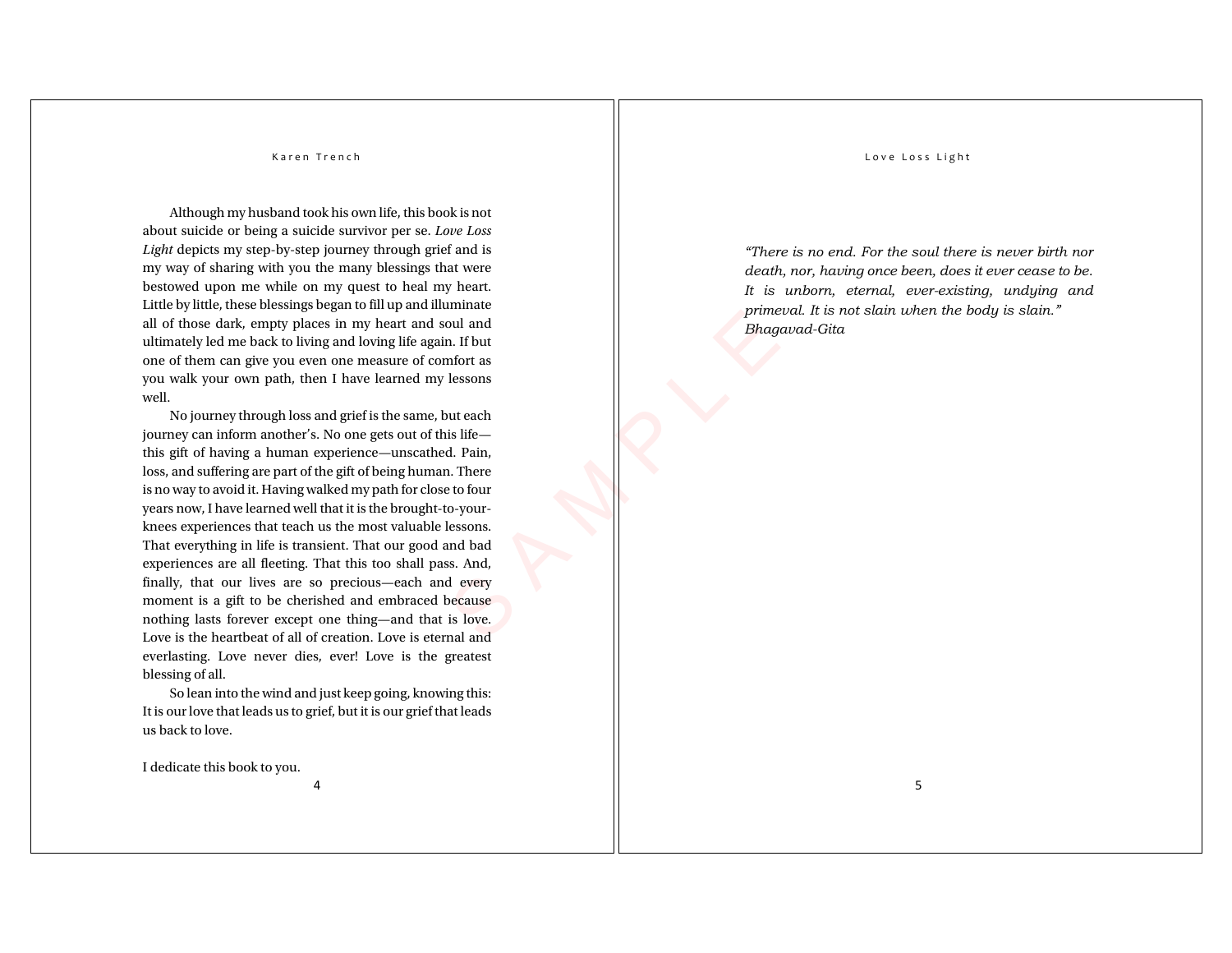Although my husband took his own life, this book is not about suicide or being a suicide survivor per se. *Love Loss Light* depicts my step-by-step journey through grief and is my way of sharing with you the many blessings that were bestowed upon me while on my quest to heal my heart. Little by little, these blessings began to fill up and illuminate all of those dark, empty places in my heart and soul and ultimately led me back to living and loving life again. If but one of them can give you even one measure of comfort as you walk your own path, then I have learned my lessons well.

of the prime beat of the prime beat of the prime beat of the prime beat of the prime beat of the sesons of the sesons of the sesons of the sesons in the beat of the sesons and bad signal every because is love. In all and No journey through loss and grief is the same, but each journey can inform another's. No one gets out of this life this gift of having a human experience—unscathed. Pain, loss, and suffering are part of the gift of being human. There is no way to avoid it. Having walked my path for close to four years now, I have learned well that it is the brought-to-yourknees experiences that teach us the most valuable lessons. That everything in life is transient. That our good and bad experiences are all fleeting. That this too shall pass. And, finally, that our lives are so precious—each and every moment is a gift to be cherished and embraced because nothing lasts forever except one thing—and that is love. Love is the heartbeat of all of creation. Love is eternal and everlasting. Love never dies, ever! Love is the greatest blessing of all.

So lean into the wind and just keep going, knowing this: It is our love that leads us to grief, but it is our grief that leads us back to love.

4

I dedicate this book to you.

#### Love Loss Light

*"There is no end. For the soul there is never birth nor death, nor, having once been, does it ever cease to be. It is unborn, eternal, ever-existing, undying and primeval. It is not slain when the body is slain." Bhagavad-Gita*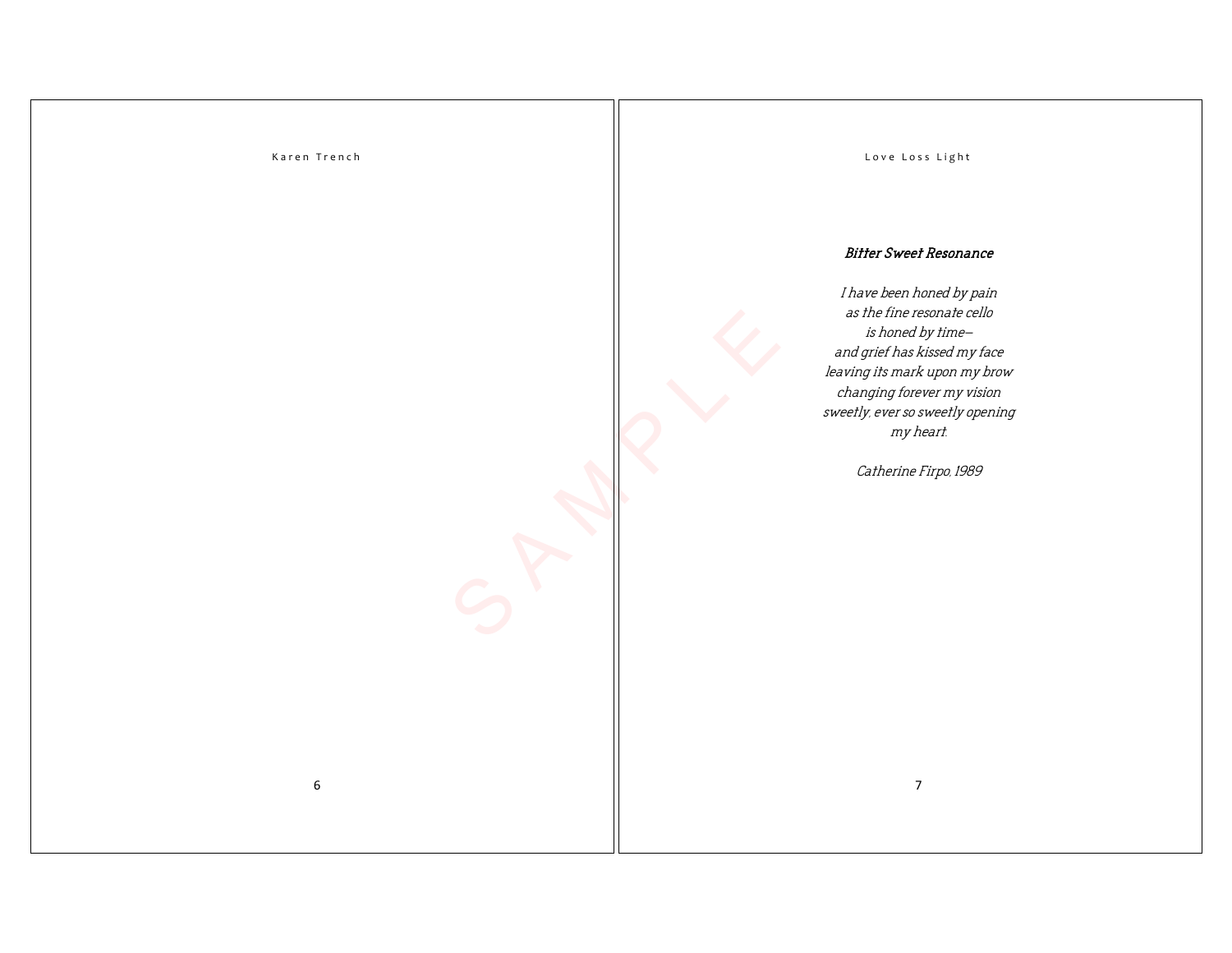6

Love Loss Light

### Bitter Sweet Resonance

I have been honed by pain as the fine resonate cello is honed by time and grief has kissed my face leaving its mark upon my brow changing forever my vision sweetly, ever so sweetly opening my heart.

Catherine Firpo, 1989

S A M P LE

7